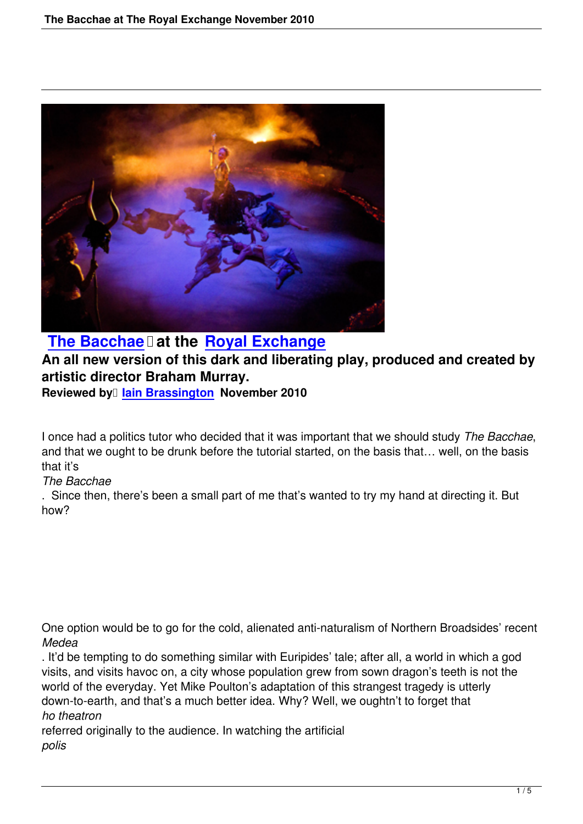

## **The Bacchae at the Royal Exchange**

## **An all new version of this dark and liberating play, produced and created by artistic director Braham Murray.**

**[Reviewed by](bacchae-royal-exchange-reviewed-by-iain-brassington.html) lain Brassingt[on November 2010](http://www.royalexchangetheatre.org.uk)** 

I once had a p[olitics tutor who dec](writers.html#iain-brassington)ided that it was important that we should study *The Bacchae*, and that we ought to be drunk before the tutorial started, on the basis that… well, on the basis that it's

*The Bacchae*

. Since then, there's been a small part of me that's wanted to try my hand at directing it. But how?

One option would be to go for the cold, alienated anti-naturalism of Northern Broadsides' recent *Medea*

. It'd be tempting to do something similar with Euripides' tale; after all, a world in which a god visits, and visits havoc on, a city whose population grew from sown dragon's teeth is not the world of the everyday. Yet Mike Poulton's adaptation of this strangest tragedy is utterly down-to-earth, and that's a much better idea. Why? Well, we oughtn't to forget that *ho theatron*

referred originally to the audience. In watching the artificial *polis*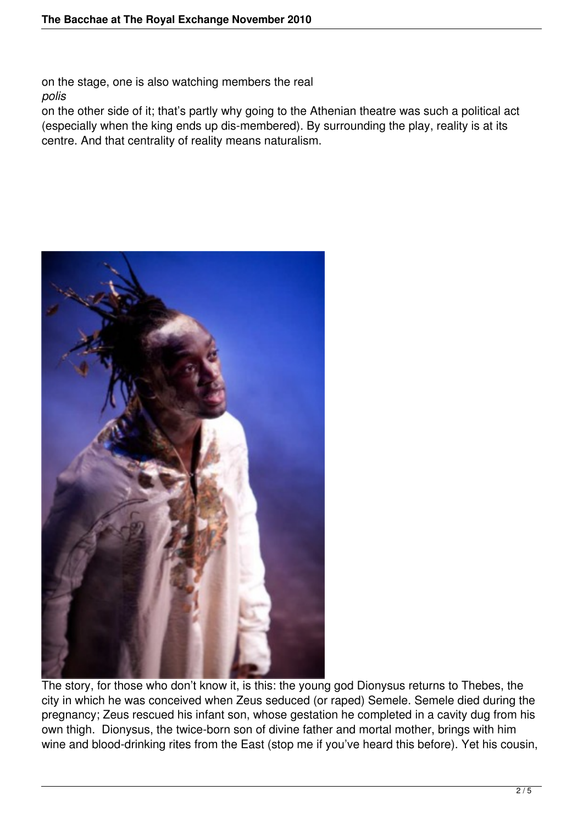on the stage, one is also watching members the real *polis*

on the other side of it; that's partly why going to the Athenian theatre was such a political act (especially when the king ends up dis-membered). By surrounding the play, reality is at its centre. And that centrality of reality means naturalism.



The story, for those who don't know it, is this: the young god Dionysus returns to Thebes, the city in which he was conceived when Zeus seduced (or raped) Semele. Semele died during the pregnancy; Zeus rescued his infant son, whose gestation he completed in a cavity dug from his own thigh. Dionysus, the twice-born son of divine father and mortal mother, brings with him wine and blood-drinking rites from the East (stop me if you've heard this before). Yet his cousin,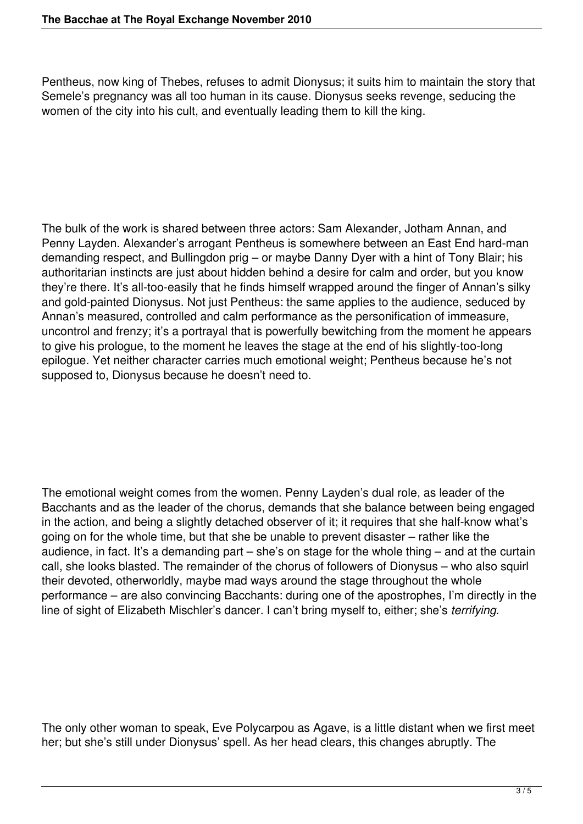Pentheus, now king of Thebes, refuses to admit Dionysus; it suits him to maintain the story that Semele's pregnancy was all too human in its cause. Dionysus seeks revenge, seducing the women of the city into his cult, and eventually leading them to kill the king.

The bulk of the work is shared between three actors: Sam Alexander, Jotham Annan, and Penny Layden. Alexander's arrogant Pentheus is somewhere between an East End hard-man demanding respect, and Bullingdon prig – or maybe Danny Dyer with a hint of Tony Blair; his authoritarian instincts are just about hidden behind a desire for calm and order, but you know they're there. It's all-too-easily that he finds himself wrapped around the finger of Annan's silky and gold-painted Dionysus. Not just Pentheus: the same applies to the audience, seduced by Annan's measured, controlled and calm performance as the personification of immeasure, uncontrol and frenzy; it's a portrayal that is powerfully bewitching from the moment he appears to give his prologue, to the moment he leaves the stage at the end of his slightly-too-long epilogue. Yet neither character carries much emotional weight; Pentheus because he's not supposed to, Dionysus because he doesn't need to.

The emotional weight comes from the women. Penny Layden's dual role, as leader of the Bacchants and as the leader of the chorus, demands that she balance between being engaged in the action, and being a slightly detached observer of it; it requires that she half-know what's going on for the whole time, but that she be unable to prevent disaster – rather like the audience, in fact. It's a demanding part – she's on stage for the whole thing – and at the curtain call, she looks blasted. The remainder of the chorus of followers of Dionysus – who also squirl their devoted, otherworldly, maybe mad ways around the stage throughout the whole performance – are also convincing Bacchants: during one of the apostrophes, I'm directly in the line of sight of Elizabeth Mischler's dancer. I can't bring myself to, either; she's *terrifying*.

The only other woman to speak, Eve Polycarpou as Agave, is a little distant when we first meet her; but she's still under Dionysus' spell. As her head clears, this changes abruptly. The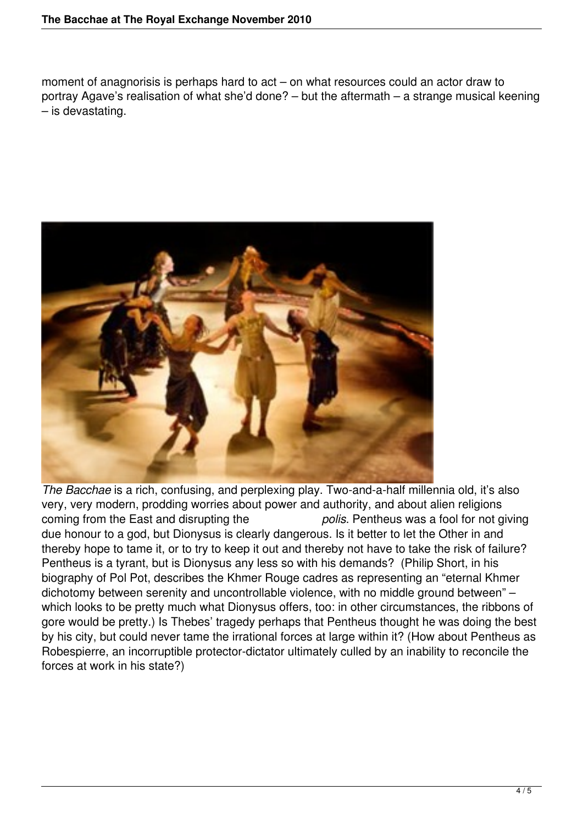moment of anagnorisis is perhaps hard to act – on what resources could an actor draw to portray Agave's realisation of what she'd done? – but the aftermath – a strange musical keening – is devastating.



*The Bacchae* is a rich, confusing, and perplexing play. Two-and-a-half millennia old, it's also very, very modern, prodding worries about power and authority, and about alien religions coming from the East and disrupting the *polis*. Pentheus was a fool for not giving due honour to a god, but Dionysus is clearly dangerous. Is it better to let the Other in and thereby hope to tame it, or to try to keep it out and thereby not have to take the risk of failure? Pentheus is a tyrant, but is Dionysus any less so with his demands? (Philip Short, in his biography of Pol Pot, describes the Khmer Rouge cadres as representing an "eternal Khmer dichotomy between serenity and uncontrollable violence, with no middle ground between" – which looks to be pretty much what Dionysus offers, too: in other circumstances, the ribbons of gore would be pretty.) Is Thebes' tragedy perhaps that Pentheus thought he was doing the best by his city, but could never tame the irrational forces at large within it? (How about Pentheus as Robespierre, an incorruptible protector-dictator ultimately culled by an inability to reconcile the forces at work in his state?)